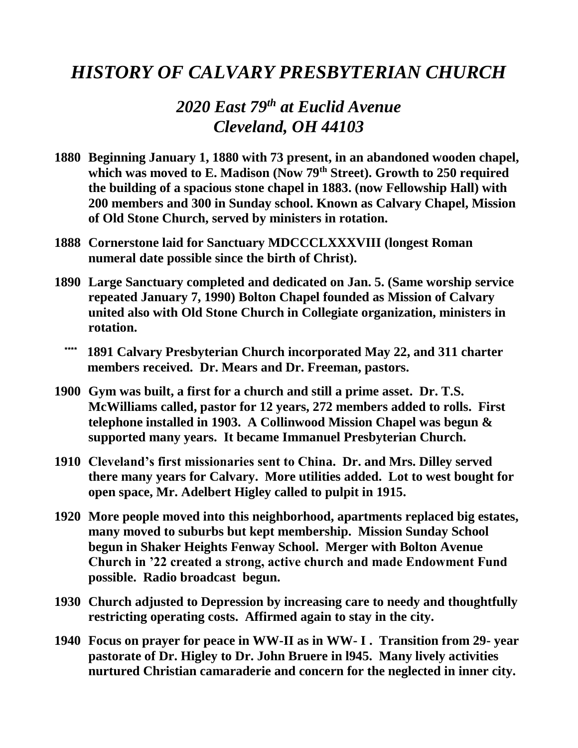## *HISTORY OF CALVARY PRESBYTERIAN CHURCH*

## *2020 East 79th at Euclid Avenue Cleveland, OH 44103*

- **1880 Beginning January 1, 1880 with 73 present, in an abandoned wooden chapel, which was moved to E. Madison (Now 79th Street). Growth to 250 required the building of a spacious stone chapel in 1883. (now Fellowship Hall) with 200 members and 300 in Sunday school. Known as Calvary Chapel, Mission of Old Stone Church, served by ministers in rotation.**
- **1888 Cornerstone laid for Sanctuary MDCCCLXXXVIII (longest Roman numeral date possible since the birth of Christ).**
- **1890 Large Sanctuary completed and dedicated on Jan. 5. (Same worship service repeated January 7, 1990) Bolton Chapel founded as Mission of Calvary united also with Old Stone Church in Collegiate organization, ministers in rotation.**
	- \*\*\*\* **1891 Calvary Presbyterian Church incorporated May 22, and 311 charter members received. Dr. Mears and Dr. Freeman, pastors.**
- **1900 Gym was built, a first for a church and still a prime asset. Dr. T.S. McWilliams called, pastor for 12 years, 272 members added to rolls. First telephone installed in 1903. A Collinwood Mission Chapel was begun & supported many years. It became Immanuel Presbyterian Church.**
- **1910 Cleveland's first missionaries sent to China. Dr. and Mrs. Dilley served there many years for Calvary. More utilities added. Lot to west bought for open space, Mr. Adelbert Higley called to pulpit in 1915.**
- **1920 More people moved into this neighborhood, apartments replaced big estates, many moved to suburbs but kept membership. Mission Sunday School begun in Shaker Heights Fenway School. Merger with Bolton Avenue Church in '22 created a strong, active church and made Endowment Fund possible. Radio broadcast begun.**
- **1930 Church adjusted to Depression by increasing care to needy and thoughtfully restricting operating costs. Affirmed again to stay in the city.**
- **1940 Focus on prayer for peace in WW-II as in WW- I . Transition from 29- year pastorate of Dr. Higley to Dr. John Bruere in l945. Many lively activities nurtured Christian camaraderie and concern for the neglected in inner city.**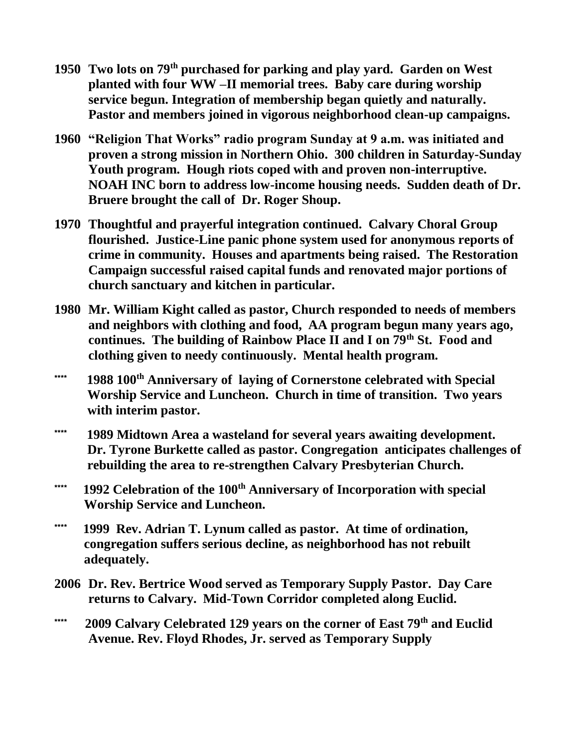- **1950 Two lots on 79th purchased for parking and play yard. Garden on West planted with four WW –II memorial trees. Baby care during worship service begun. Integration of membership began quietly and naturally. Pastor and members joined in vigorous neighborhood clean-up campaigns.**
- **1960 "Religion That Works" radio program Sunday at 9 a.m. was initiated and proven a strong mission in Northern Ohio. 300 children in Saturday-Sunday Youth program. Hough riots coped with and proven non-interruptive. NOAH INC born to address low-income housing needs. Sudden death of Dr. Bruere brought the call of Dr. Roger Shoup.**
- **1970 Thoughtful and prayerful integration continued. Calvary Choral Group flourished. Justice-Line panic phone system used for anonymous reports of crime in community. Houses and apartments being raised. The Restoration Campaign successful raised capital funds and renovated major portions of church sanctuary and kitchen in particular.**
- **1980 Mr. William Kight called as pastor, Church responded to needs of members and neighbors with clothing and food, AA program begun many years ago, continues. The building of Rainbow Place II and I on 79th St. Food and clothing given to needy continuously. Mental health program.**
- \*\*\*\* **1988 100th Anniversary of laying of Cornerstone celebrated with Special Worship Service and Luncheon. Church in time of transition. Two years with interim pastor.**
- \*\*\*\* **1989 Midtown Area a wasteland for several years awaiting development. Dr. Tyrone Burkette called as pastor. Congregation anticipates challenges of rebuilding the area to re-strengthen Calvary Presbyterian Church.**
- \*\*\*\* **1992 Celebration of the 100th Anniversary of Incorporation with special Worship Service and Luncheon.**
- \*\*\*\* **1999 Rev. Adrian T. Lynum called as pastor. At time of ordination, congregation suffers serious decline, as neighborhood has not rebuilt adequately.**
- **2006 Dr. Rev. Bertrice Wood served as Temporary Supply Pastor. Day Care returns to Calvary. Mid-Town Corridor completed along Euclid.**
- \*\*\*\* **2009 Calvary Celebrated 129 years on the corner of East 79th and Euclid Avenue. Rev. Floyd Rhodes, Jr. served as Temporary Supply**